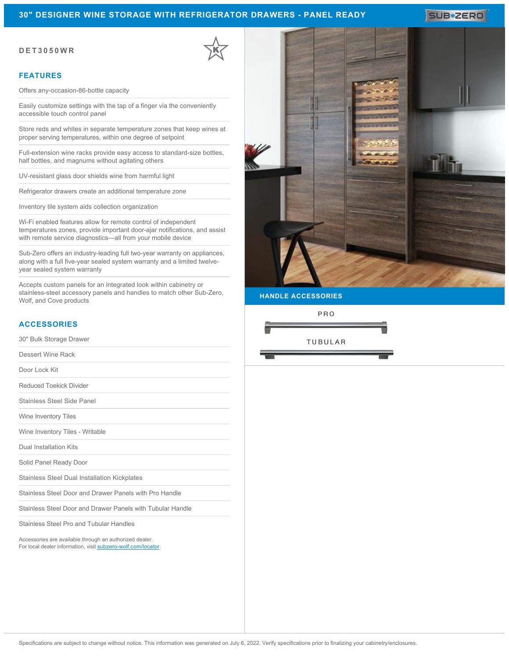### **30" DESIGNER WINE STORAGE WITH REFRIGERATOR DRAWERS - PANEL READY**

**DET3050WR**

#### **FEATURES**

Offers any-occasion-86-bottle capacity

Easily customize settings with the tap of a finger via the conveniently accessible touch control panel

Store reds and whites in separate temperature zones that keep wines at proper serving temperatures, within one degree of setpoint

Full-extension wine racks provide easy access to standard-size bottles, half bottles, and magnums without agitating others

UV-resistant glass door shields wine from harmful light

Refrigerator drawers create an additional temperature zone

Inventory tile system aids collection organization

Wi-Fi enabled features allow for remote control of independent temperatures zones, provide important door-ajar notifications, and assist with remote service diagnostics—all from your mobile device

Sub-Zero offers an industry-leading full two-year warranty on appliances, along with a full five-year sealed system warranty and a limited twelveyear sealed system warranty

Accepts custom panels for an integrated look within cabinetry or stainless-steel accessory panels and handles to match other Sub-Zero, Wolf, and Cove products

# **ACCESSORIES**

30" Bulk Storage Drawer

Dessert Wine Rack

Door Lock Kit

Reduced Toekick Divider

Stainless Steel Side Panel

Wine Inventory Tiles

Wine Inventory Tiles - Writable

Dual Installation Kits

Solid Panel Ready Door

Stainless Steel Dual Installation Kickplates

Stainless Steel Door and Drawer Panels with Pro Handle

Stainless Steel Door and Drawer Panels with Tubular Handle

Stainless Steel Pro and Tubular Handles

Accessories are available through an authorized dealer. For local dealer information, visit [subzero-wolf.com/locator.](http://www.subzero-wolf.com/locator)



**HANDLE ACCESSORIES**

PRO

**TUBULAR**